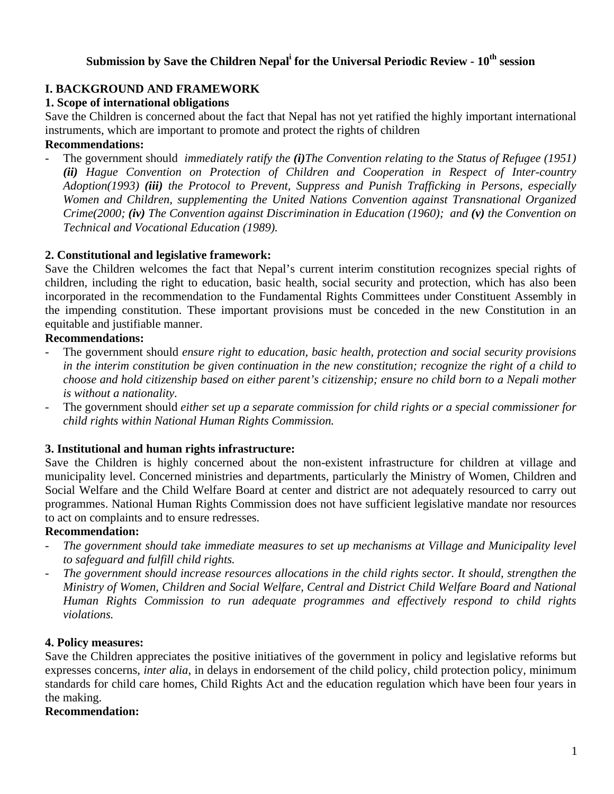# Submission by Save the Children Nepal<sup>i</sup> for the Universal Periodic Review -  $10^{\text{th}}$  session

## **I. BACKGROUND AND FRAMEWORK**

## **1. Scope of international obligations**

Save the Children is concerned about the fact that Nepal has not yet ratified the highly important international instruments, which are important to promote and protect the rights of children

# **Recommendations:**

- The government should *immediately ratify the (i)The Convention relating to the Status of Refugee (1951) (ii) Hague Convention on Protection of Children and Cooperation in Respect of Inter-country Adoption(1993) (iii) the Protocol to Prevent, Suppress and Punish Trafficking in Persons, especially Women and Children, supplementing the United Nations Convention against Transnational Organized Crime(2000; (iv) The Convention against Discrimination in Education (1960); and (v) the Convention on Technical and Vocational Education (1989).* 

## **2. Constitutional and legislative framework:**

Save the Children welcomes the fact that Nepal's current interim constitution recognizes special rights of children, including the right to education, basic health, social security and protection, which has also been incorporated in the recommendation to the Fundamental Rights Committees under Constituent Assembly in the impending constitution. These important provisions must be conceded in the new Constitution in an equitable and justifiable manner.

### **Recommendations:**

- The government should *ensure right to education, basic health, protection and social security provisions in the interim constitution be given continuation in the new constitution; recognize the right of a child to choose and hold citizenship based on either parent's citizenship; ensure no child born to a Nepali mother is without a nationality.*
- The government should *either set up a separate commission for child rights or a special commissioner for child rights within National Human Rights Commission.*

### **3. Institutional and human rights infrastructure:**

Save the Children is highly concerned about the non-existent infrastructure for children at village and municipality level. Concerned ministries and departments, particularly the Ministry of Women, Children and Social Welfare and the Child Welfare Board at center and district are not adequately resourced to carry out programmes. National Human Rights Commission does not have sufficient legislative mandate nor resources to act on complaints and to ensure redresses.

### **Recommendation:**

- *The government should take immediate measures to set up mechanisms at Village and Municipality level to safeguard and fulfill child rights.*
- *The government should increase resources allocations in the child rights sector. It should, strengthen the Ministry of Women, Children and Social Welfare, Central and District Child Welfare Board and National Human Rights Commission to run adequate programmes and effectively respond to child rights violations.*

### **4. Policy measures:**

Save the Children appreciates the positive initiatives of the government in policy and legislative reforms but expresses concerns, *inter alia*, in delays in endorsement of the child policy, child protection policy, minimum standards for child care homes, Child Rights Act and the education regulation which have been four years in the making.

### **Recommendation:**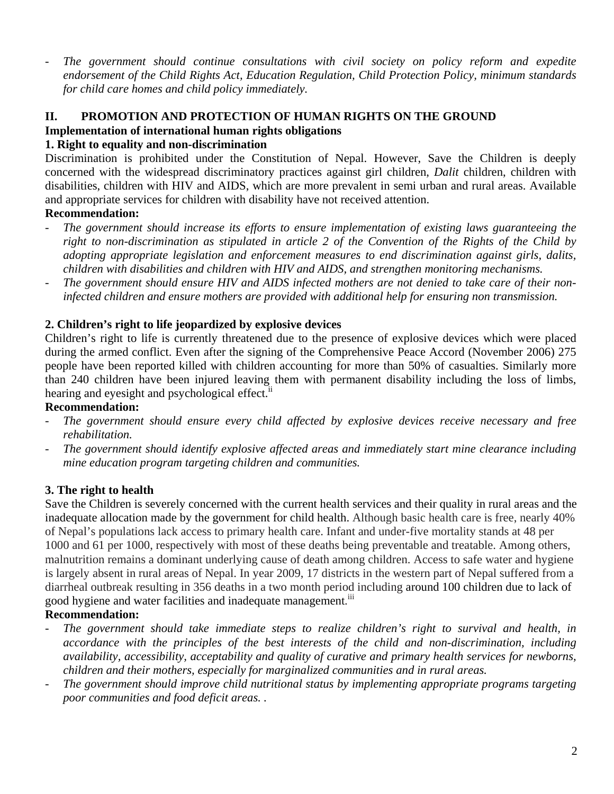- *The government should continue consultations with civil society on policy reform and expedite endorsement of the Child Rights Act, Education Regulation, Child Protection Policy, minimum standards for child care homes and child policy immediately.* 

# **II. PROMOTION AND PROTECTION OF HUMAN RIGHTS ON THE GROUND**

## **Implementation of international human rights obligations**

## **1. Right to equality and non-discrimination**

Discrimination is prohibited under the Constitution of Nepal. However, Save the Children is deeply concerned with the widespread discriminatory practices against girl children, *Dalit* children, children with disabilities, children with HIV and AIDS, which are more prevalent in semi urban and rural areas. Available and appropriate services for children with disability have not received attention.

# **Recommendation:**

- *The government should increase its efforts to ensure implementation of existing laws guaranteeing the right to non-discrimination as stipulated in article 2 of the Convention of the Rights of the Child by adopting appropriate legislation and enforcement measures to end discrimination against girls, dalits, children with disabilities and children with HIV and AIDS, and strengthen monitoring mechanisms.*
- *The government should ensure HIV and AIDS infected mothers are not denied to take care of their noninfected children and ensure mothers are provided with additional help for ensuring non transmission.*

# **2. Children's right to life jeopardized by explosive devices**

Children's right to life is currently threatened due to the presence of explosive devices which were placed during the armed conflict. Even after the signing of the Comprehensive Peace Accord (November 2006) 275 people have been reported killed with children accounting for more than 50% of casualties. Similarly more than 240 children have been injured leaving them with permanent disability including the loss of limbs, hearing and eyesight and psychological effect.<sup>ii</sup>

### **Recommendation:**

- *The government should ensure every child affected by explosive devices receive necessary and free rehabilitation.*
- *The government should identify explosive affected areas and immediately start mine clearance including mine education program targeting children and communities.*

# **3. The right to health**

Save the Children is severely concerned with the current health services and their quality in rural areas and the inadequate allocation made by the government for child health. Although basic health care is free, nearly 40% of Nepal's populations lack access to primary health care. Infant and under-five mortality stands at 48 per 1000 and 61 per 1000, respectively with most of these deaths being preventable and treatable. Among others, malnutrition remains a dominant underlying cause of death among children. Access to safe water and hygiene is largely absent in rural areas of Nepal. In year 2009, 17 districts in the western part of Nepal suffered from a diarrheal outbreak resulting in 356 deaths in a two month period including around 100 children due to lack of good hygiene and water facilities and inadequate management.<sup>iii</sup>

# **Recommendation:**

- *The government should take immediate steps to realize children's right to survival and health, in accordance with the principles of the best interests of the child and non-discrimination, including availability, accessibility, acceptability and quality of curative and primary health services for newborns, children and their mothers, especially for marginalized communities and in rural areas.*
- *The government should improve child nutritional status by implementing appropriate programs targeting poor communities and food deficit areas. .*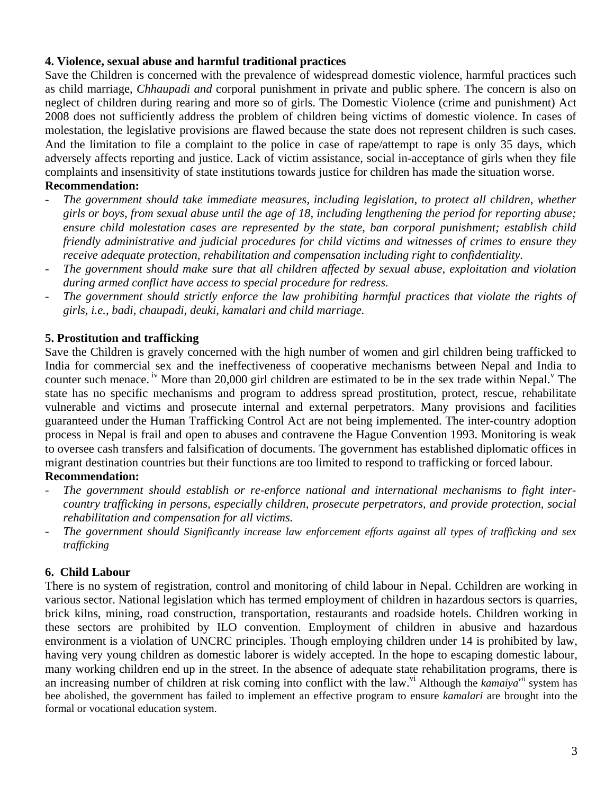## **4. Violence, sexual abuse and harmful traditional practices**

Save the Children is concerned with the prevalence of widespread domestic violence, harmful practices such as child marriage, *Chhaupadi and* corporal punishment in private and public sphere. The concern is also on neglect of children during rearing and more so of girls. The Domestic Violence (crime and punishment) Act 2008 does not sufficiently address the problem of children being victims of domestic violence. In cases of molestation, the legislative provisions are flawed because the state does not represent children is such cases. And the limitation to file a complaint to the police in case of rape/attempt to rape is only 35 days, which adversely affects reporting and justice. Lack of victim assistance, social in-acceptance of girls when they file complaints and insensitivity of state institutions towards justice for children has made the situation worse. **Recommendation:** 

- *The government should take immediate measures, including legislation, to protect all children, whether girls or boys, from sexual abuse until the age of 18, including lengthening the period for reporting abuse; ensure child molestation cases are represented by the state, ban corporal punishment; establish child friendly administrative and judicial procedures for child victims and witnesses of crimes to ensure they receive adequate protection, rehabilitation and compensation including right to confidentiality.*
- *The government should make sure that all children affected by sexual abuse, exploitation and violation during armed conflict have access to special procedure for redress.*
- The government should strictly enforce the law prohibiting harmful practices that violate the rights of *girls, i.e., badi, chaupadi, deuki, kamalari and child marriage.*

# **5. Prostitution and trafficking**

Save the Children is gravely concerned with the high number of women and girl children being trafficked to India for commercial sex and the ineffectiveness of cooperative mechanisms between Nepal and India to counter such menace. <sup>iv</sup> More than 20,000 girl children are estimated to be in the sex trade within Nepal.<sup>V</sup> The state has no specific mechanisms and program to address spread prostitution, protect, rescue, rehabilitate vulnerable and victims and prosecute internal and external perpetrators. Many provisions and facilities guaranteed under the Human Trafficking Control Act are not being implemented. The inter-country adoption process in Nepal is frail and open to abuses and contravene the Hague Convention 1993. Monitoring is weak to oversee cash transfers and falsification of documents. The government has established diplomatic offices in migrant destination countries but their functions are too limited to respond to trafficking or forced labour. **Recommendation:** 

- The government should establish or re-enforce national and international mechanisms to fight inter*country trafficking in persons, especially children, prosecute perpetrators, and provide protection, social rehabilitation and compensation for all victims.*
- *The government should Significantly increase law enforcement efforts against all types of trafficking and sex trafficking*

### **6. Child Labour**

There is no system of registration, control and monitoring of child labour in Nepal. Cchildren are working in various sector. National legislation which has termed employment of children in hazardous sectors is quarries, brick kilns, mining, road construction, transportation, restaurants and roadside hotels. Children working in these sectors are prohibited by ILO convention. Employment of children in abusive and hazardous environment is a violation of UNCRC principles. Though employing children under 14 is prohibited by law, having very young children as domestic laborer is widely accepted. In the hope to escaping domestic labour, many working children end up in the street. In the absence of adequate state rehabilitation programs, there is an increasing number of children at risk coming into conflict with the law.<sup>vi</sup> Although the *kamaiya<sup>vii</sup>* system has bee abolished, the government has failed to implement an effective program to ensure *kamalari* are brought into the formal or vocational education system.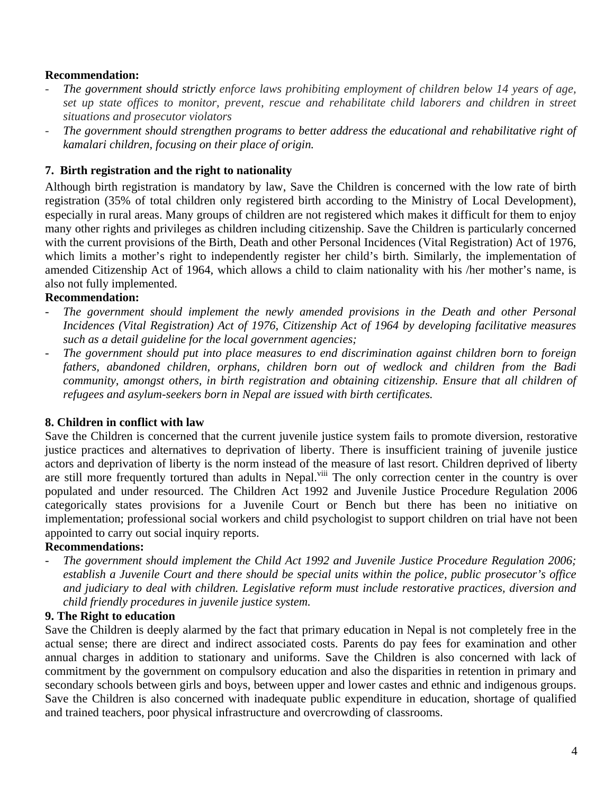#### **Recommendation:**

- *The government should strictly enforce laws prohibiting employment of children below 14 years of age, set up state offices to monitor, prevent, rescue and rehabilitate child laborers and children in street situations and prosecutor violators*
- *The government should strengthen programs to better address the educational and rehabilitative right of kamalari children, focusing on their place of origin.*

#### **7. Birth registration and the right to nationality**

Although birth registration is mandatory by law, Save the Children is concerned with the low rate of birth registration (35% of total children only registered birth according to the Ministry of Local Development), especially in rural areas. Many groups of children are not registered which makes it difficult for them to enjoy many other rights and privileges as children including citizenship. Save the Children is particularly concerned with the current provisions of the Birth, Death and other Personal Incidences (Vital Registration) Act of 1976, which limits a mother's right to independently register her child's birth. Similarly, the implementation of amended Citizenship Act of 1964, which allows a child to claim nationality with his /her mother's name, is also not fully implemented.

### **Recommendation:**

- *The government should implement the newly amended provisions in the Death and other Personal Incidences (Vital Registration) Act of 1976, Citizenship Act of 1964 by developing facilitative measures such as a detail guideline for the local government agencies;*
- *The government should put into place measures to end discrimination against children born to foreign fathers, abandoned children, orphans, children born out of wedlock and children from the Badi community, amongst others, in birth registration and obtaining citizenship. Ensure that all children of refugees and asylum-seekers born in Nepal are issued with birth certificates.*

#### **8. Children in conflict with law**

Save the Children is concerned that the current juvenile justice system fails to promote diversion, restorative justice practices and alternatives to deprivation of liberty. There is insufficient training of juvenile justice actors and deprivation of liberty is the norm instead of the measure of last resort. Children deprived of liberty are still more frequently tortured than adults in Nepal.<sup>viii</sup> The only correction center in the country is over populated and under resourced. The Children Act 1992 and Juvenile Justice Procedure Regulation 2006 categorically states provisions for a Juvenile Court or Bench but there has been no initiative on implementation; professional social workers and child psychologist to support children on trial have not been appointed to carry out social inquiry reports.

#### **Recommendations:**

- *The government should implement the Child Act 1992 and Juvenile Justice Procedure Regulation 2006; establish a Juvenile Court and there should be special units within the police, public prosecutor's office and judiciary to deal with children. Legislative reform must include restorative practices, diversion and child friendly procedures in juvenile justice system.*

#### **9. The Right to education**

Save the Children is deeply alarmed by the fact that primary education in Nepal is not completely free in the actual sense; there are direct and indirect associated costs. Parents do pay fees for examination and other annual charges in addition to stationary and uniforms. Save the Children is also concerned with lack of commitment by the government on compulsory education and also the disparities in retention in primary and secondary schools between girls and boys, between upper and lower castes and ethnic and indigenous groups. Save the Children is also concerned with inadequate public expenditure in education, shortage of qualified and trained teachers, poor physical infrastructure and overcrowding of classrooms.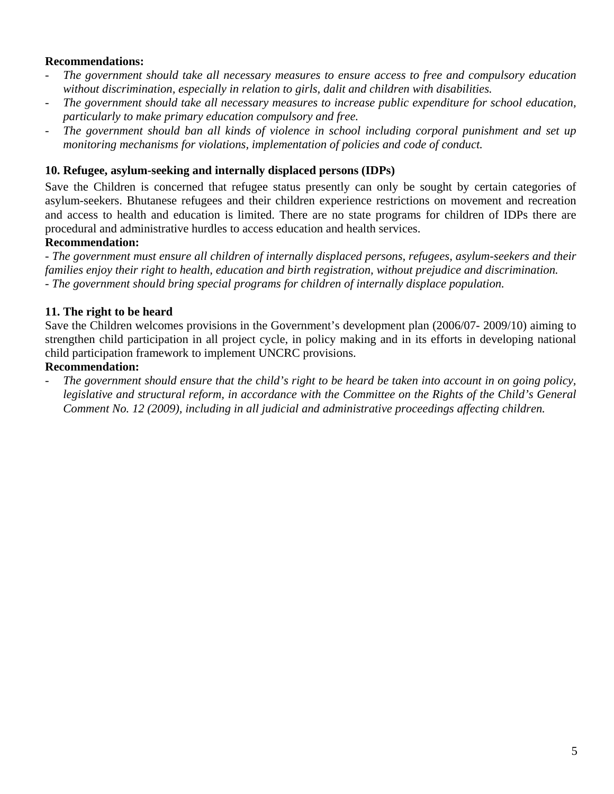### **Recommendations:**

- *The government should take all necessary measures to ensure access to free and compulsory education without discrimination, especially in relation to girls, dalit and children with disabilities.*
- *The government should take all necessary measures to increase public expenditure for school education, particularly to make primary education compulsory and free.*
- *The government should ban all kinds of violence in school including corporal punishment and set up monitoring mechanisms for violations, implementation of policies and code of conduct.*

#### **10. Refugee, asylum-seeking and internally displaced persons (IDPs)**

Save the Children is concerned that refugee status presently can only be sought by certain categories of asylum-seekers. Bhutanese refugees and their children experience restrictions on movement and recreation and access to health and education is limited. There are no state programs for children of IDPs there are procedural and administrative hurdles to access education and health services.

#### **Recommendation:**

*- The government must ensure all children of internally displaced persons, refugees, asylum-seekers and their families enjoy their right to health, education and birth registration, without prejudice and discrimination. - The government should bring special programs for children of internally displace population.*

### **11. The right to be heard**

Save the Children welcomes provisions in the Government's development plan (2006/07- 2009/10) aiming to strengthen child participation in all project cycle, in policy making and in its efforts in developing national child participation framework to implement UNCRC provisions.

## **Recommendation:**

The government should ensure that the child's right to be heard be taken into account in on going policy, *legislative and structural reform, in accordance with the Committee on the Rights of the Child's General Comment No. 12 (2009), including in all judicial and administrative proceedings affecting children.*